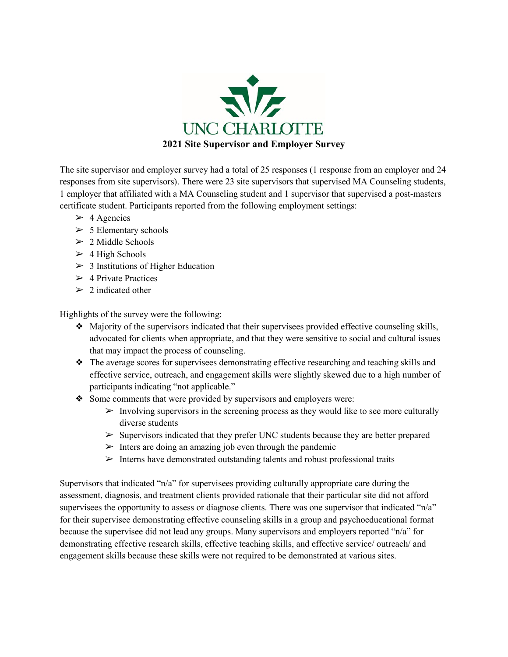

The site supervisor and employer survey had a total of 25 responses (1 response from an employer and 24 responses from site supervisors). There were 23 site supervisors that supervised MA Counseling students, 1 employer that affiliated with a MA Counseling student and 1 supervisor that supervised a post-masters certificate student. Participants reported from the following employment settings:

- $> 4$  Agencies
- $> 5$  Elementary schools
- $> 2$  Middle Schools
- $>$  4 High Schools
- $>$  3 Institutions of Higher Education
- $>$  4 Private Practices
- $\geq 2$  indicated other

Highlights of the survey were the following:

- ❖ Majority of the supervisors indicated that their supervisees provided effective counseling skills, advocated for clients when appropriate, and that they were sensitive to social and cultural issues that may impact the process of counseling.
- ❖ The average scores for supervisees demonstrating effective researching and teaching skills and effective service, outreach, and engagement skills were slightly skewed due to a high number of participants indicating "not applicable."
- ❖ Some comments that were provided by supervisors and employers were:
	- $\triangleright$  Involving supervisors in the screening process as they would like to see more culturally diverse students
	- $\triangleright$  Supervisors indicated that they prefer UNC students because they are better prepared
	- $\triangleright$  Inters are doing an amazing job even through the pandemic
	- $\triangleright$  Interns have demonstrated outstanding talents and robust professional traits

Supervisors that indicated "n/a" for supervisees providing culturally appropriate care during the assessment, diagnosis, and treatment clients provided rationale that their particular site did not afford supervisees the opportunity to assess or diagnose clients. There was one supervisor that indicated "n/a" for their supervisee demonstrating effective counseling skills in a group and psychoeducational format because the supervisee did not lead any groups. Many supervisors and employers reported "n/a" for demonstrating effective research skills, effective teaching skills, and effective service/ outreach/ and engagement skills because these skills were not required to be demonstrated at various sites.